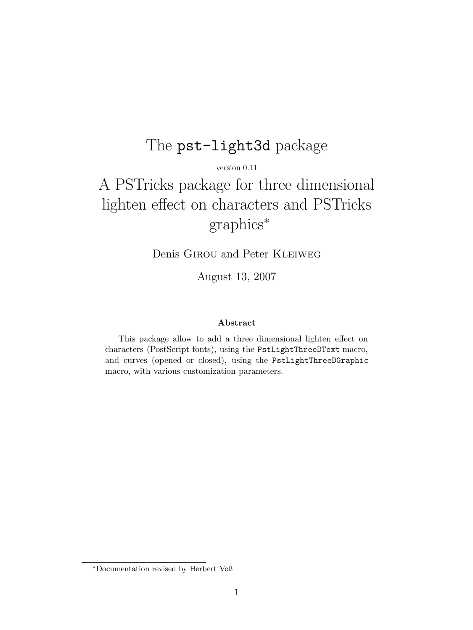## The pst-light3d package

version 0.11

# A PSTricks package for three dimensional lighten effect on characters and PSTricks graphics*<sup>∗</sup>*

Denis Girou and Peter Kleiweg

August 13, 2007

#### **Abstract**

This package allow to add a three dimensional lighten effect on characters (PostScript fonts), using the PstLightThreeDText macro, and curves (opened or closed), using the PstLightThreeDGraphic macro, with various customization parameters.

*<sup>∗</sup>*Documentation revised by Herbert Voß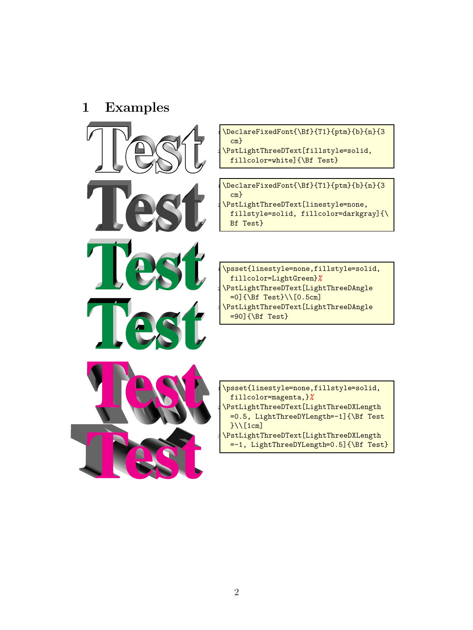## **1 Examples**



 $\Delta$ leclareFixedFont{ $\left\{T1\}$ {ptm}{b}{n}{3 cm}  $\texttt{\texttt{PstLightThreeDText[fillstyle=solid,}}$ fillcolor=white]{\Bf Test}

 $\Delta$ leclareFixedFont ${\Bbb S}^{T1}\{ptm\}$ {b}{n}{3 cm} \PstLightThreeDText[linestyle=none, fillstyle=solid, fillcolor=darkgray]{\ Bf Test}

 $\texttt{\texttt{1}inestyle=none,fillstyle=solid,}$ fillcolor=LightGreen}*%* \PstLightThreeDText[LightThreeDAngle =0]{\Bf Test}\\[0.5cm] <sup>3</sup> \PstLightThreeDText[LightThreeDAngle  $=90$ ]{\Bf Test}



\psset{linestyle=none,fillstyle=solid, fillcolor=magenta,}*%* \PstLightThreeDText[LightThreeDXLength =0.5, LightThreeDYLength=-1]{\Bf Test }\\[1cm] \PstLightThreeDText[LightThreeDXLength =-1, LightThreeDYLength=0.5]{\Bf Test}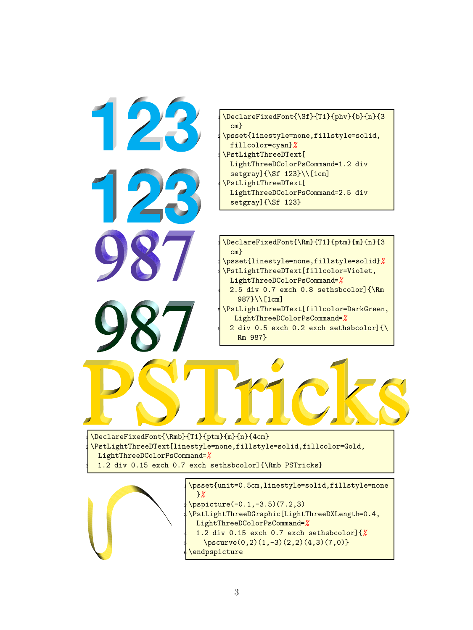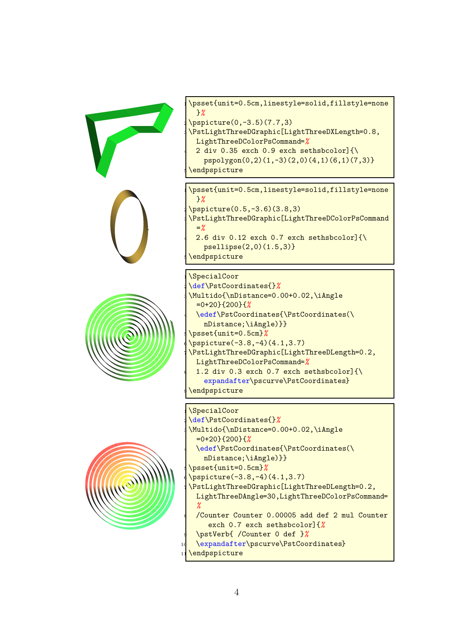







\psset{unit=0.5cm,linestyle=solid,fillstyle=none }*%*  $\pi$ )

\PstLightThreeDGraphic[LightThreeDXLength=0.8, LightThreeDColorPsCommand=*%* 2 div 0.35 exch 0.9 exch sethsbcolor] $\{\setminus\}$ 

pspolygon(0,2)(1,-3)(2,0)(4,1)(6,1)(7,3)}

\endpspicture

\psset{unit=0.5cm,linestyle=solid,fillstyle=none }*%*  $\pi$ )  $(3.8,3)$ \PstLightThreeDGraphic[LightThreeDColorPsCommand =*%* 2.6 div 0.12 exch 0.7 exch sethsbcolor] $\{\n\}$ psellipse(2,0)(1.5,3)}

\endpspicture

\SpecialCoor <sup>2</sup> \def\PstCoordinates{}*%* \Multido{\nDistance=0.00+0.02,\iAngle =0+20}{200}{*%* \edef\PstCoordinates{\PstCoordinates(\ nDistance;\iAngle)}} <sup>5</sup> \psset{unit=0.5cm}*%* \pspicture(-3.8,-4)(4.1,3.7) \PstLightThreeDGraphic[LightThreeDLength=0.2, LightThreeDColorPsCommand=*%* 1.2 div 0.3 exch 0.7 exch sethsbcolor] ${\mathcal{N}}$ expandafter\pscurve\PstCoordinates} \endpspicture

\SpecialCoor

```
2 \def\PstCoordinates{}%
\Multido{\nDistance=0.00+0.02,\iAngle
 =0+20}{200}{%
 4 \edef\PstCoordinates{\PstCoordinates(\
   nDistance;\iAngle)}}
5 \psset{unit=0.5cm}%
\pspicture(-3.8,-4)(4.1,3.7)
\PstLightThreeDGraphic[LightThreeDLength=0.2,
 LightThreeDAngle=30,LightThreeDColorPsCommand=
 %
 8 /Counter Counter 0.00005 add def 2 mul Counter
    exch 0.7 exch sethsbcolor]{%
 9 \pstVerb{ /Counter 0 def }%
 \expandafter\pscurve\PstCoordinates}
\endpspicture
```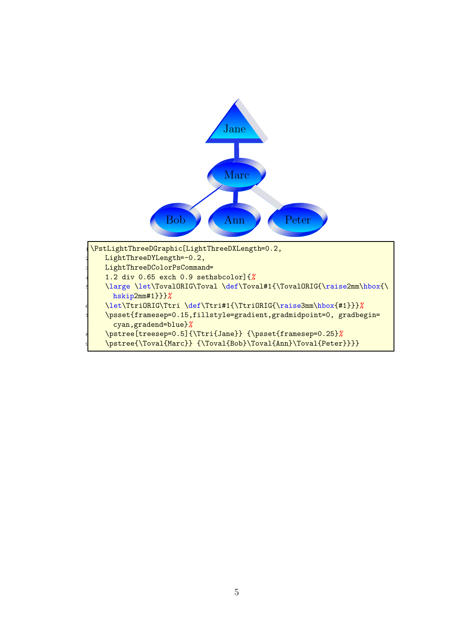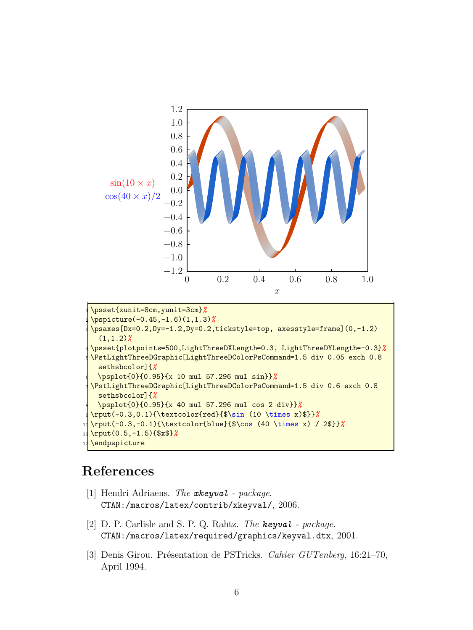

```
2 \pspicture(-0.45,-1.6)(1,1.3)%
\psaxes[Dx=0.2,Oy=-1.2,Dy=0.2,tickstyle=top, axesstyle=frame](0,-1.2)
  (1,1.2)%
4 \psset{plotpoints=500,LightThreeDXLength=0.3, LightThreeDYLength=-0.3}%
5 \PstLightThreeDGraphic[LightThreeDColorPsCommand=1.5 div 0.05 exch 0.8
 sethsbcolor]{%
 6 \psplot{0}{0.95}{x 10 mul 57.296 mul sin}}%
7 \PstLightThreeDGraphic[LightThreeDColorPsCommand=1.5 div 0.6 exch 0.8
 sethsbcolor]{%
 8 \psplot{0}{0.95}{x 40 mul 57.296 mul cos 2 div}}%
9 \rput(-0.3,0.1){\textcolor{red}{$\sin (10 \times x)$}}%
10 \rput(-0.3,-0.1){\textcolor{blue}{$\cos (40 \times x) / 2$}}%
11 \rput(0.5,-1.5){$x$}%
\endpspicture
```
## **References**

- [1] Hendri Adriaens. *The xkeyval package*. CTAN:/macros/latex/contrib/xkeyval/, 2006.
- [2] D. P. Carlisle and S. P. Q. Rahtz. *The keyval package*. CTAN:/macros/latex/required/graphics/keyval.dtx, 2001.
- [3] Denis Girou. Présentation de PSTricks. *Cahier GUTenberg*, 16:21–70, April 1994.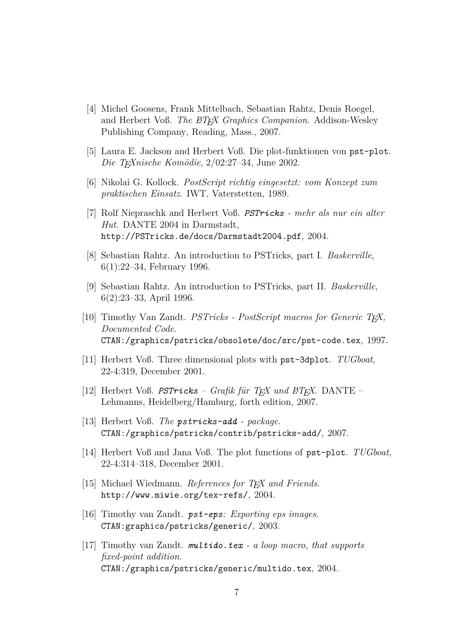- [4] Michel Goosens, Frank Mittelbach, Sebastian Rahtz, Denis Roegel, and Herbert Voß. *The BTEX Graphics Companion*. Addison-Wesley Publishing Company, Reading, Mass., 2007.
- [5] Laura E. Jackson and Herbert Voß. Die plot-funktionen von pst-plot. *Die TEXnische Komödie*, 2/02:27–34, June 2002.
- [6] Nikolai G. Kollock. *PostScript richtig eingesetzt: vom Konzept zum praktischen Einsatz*. IWT, Vaterstetten, 1989.
- [7] Rolf Niepraschk and Herbert Voß. *PSTricks mehr als nur ein alter Hut*. DANTE 2004 in Darmstadt, http://PSTricks.de/docs/Darmstadt2004.pdf, 2004.
- [8] Sebastian Rahtz. An introduction to PSTricks, part I. *Baskerville*, 6(1):22–34, February 1996.
- [9] Sebastian Rahtz. An introduction to PSTricks, part II. *Baskerville*, 6(2):23–33, April 1996.
- [10] Timothy Van Zandt. *PSTricks PostScript macros for Generic TEX, Documented Code*. CTAN:/graphics/pstricks/obsolete/doc/src/pst-code.tex, 1997.
- [11] Herbert Voß. Three dimensional plots with pst-3dplot. *TUGboat*, 22-4:319, December 2001.
- [12] Herbert Voß. *PSTricks Grafik für TEX und L<sup>A</sup>TEX*. DANTE Lehmanns, Heidelberg/Hamburg, forth edition, 2007.
- [13] Herbert Voß. *The pstricks-add package*. CTAN:/graphics/pstricks/contrib/pstricks-add/, 2007.
- [14] Herbert Voß and Jana Voß. The plot functions of pst-plot. *TUGboat*, 22-4:314–318, December 2001.
- [15] Michael Wiedmann. *References for TEX and Friends*. http://www.miwie.org/tex-refs/, 2004.
- [16] Timothy van Zandt. *pst-eps: Exporting eps images*. CTAN:graphics/pstricks/generic/, 2003.
- [17] Timothy van Zandt. *multido.tex a loop macro, that supports fixed-point addition*. CTAN:/graphics/pstricks/generic/multido.tex, 2004.